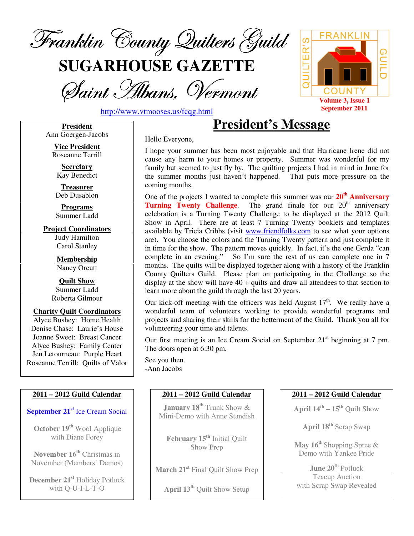

**SUGARHOUSE GAZETTE**

Saint *H*ibans, Vermont



http://www.vtmooses.us/fcqg.html

**President**  Ann Goergen-Jacobs

> **Vice President**  Roseanne Terrill

**Secretary**  Kay Benedict

**Treasurer**  Deb Dusablon

**Programs**  Summer Ladd

**Project Coordinators**  Judy Hamilton Carol Stanley

> **Membership**  Nancy Orcutt

**Quilt Show**  Summer Ladd Roberta Gilmour

**Charity Quilt Coordinators**  Alyce Bushey: Home Health Denise Chase: Laurie's House Joanne Sweet: Breast Cancer Alyce Bushey: Family Center Jen Letourneau: Purple Heart Roseanne Terrill: Quilts of Valor

### **2011 – 2012 Guild Calendar**

**September 21st** Ice Cream Social

**October 19th** Wool Applique with Diane Forey

**November 16th** Christmas in November (Members' Demos)

**December 21st** Holiday Potluck with Q-U-I-L-T-O

Hello Everyone,

I hope your summer has been most enjoyable and that Hurricane Irene did not cause any harm to your homes or property. Summer was wonderful for my family but seemed to just fly by. The quilting projects I had in mind in June for the summer months just haven't happened. That puts more pressure on the coming months.

**President's Message**

One of the projects I wanted to complete this summer was our **20th Anniversary Turning Twenty Challenge.** The grand finale for our 20<sup>th</sup> anniversary celebration is a Turning Twenty Challenge to be displayed at the 2012 Quilt Show in April. There are at least 7 Turning Twenty booklets and templates available by Tricia Cribbs (visit www.friendfolks.com to see what your options are). You choose the colors and the Turning Twenty pattern and just complete it in time for the show. The pattern moves quickly. In fact, it's the one Gerda "can complete in an evening." So I'm sure the rest of us can complete one in 7 months. The quilts will be displayed together along with a history of the Franklin County Quilters Guild. Please plan on participating in the Challenge so the display at the show will have 40 + quilts and draw all attendees to that section to learn more about the guild through the last 20 years.

Our kick-off meeting with the officers was held August  $17<sup>th</sup>$ . We really have a wonderful team of volunteers working to provide wonderful programs and projects and sharing their skills for the betterment of the Guild. Thank you all for volunteering your time and talents.

Our first meeting is an Ice Cream Social on September  $21<sup>st</sup>$  beginning at 7 pm. The doors open at 6:30 pm.

See you then. -Ann Jacobs

### **2011 – 2012 Guild Calendar**

**January 18th** Trunk Show & Mini-Demo with Anne Standish

**February 15th** Initial Quilt Show Prep

**March 21st** Final Quilt Show Prep

**April 13th** Quilt Show Setup

### **2011 – 2012 Guild Calendar**

**April 14th – 15th** Quilt Show

**April 18th** Scrap Swap

**May 16th** Shopping Spree & Demo with Yankee Pride

**June 20th** Potluck Teacup Auction with Scrap Swap Revealed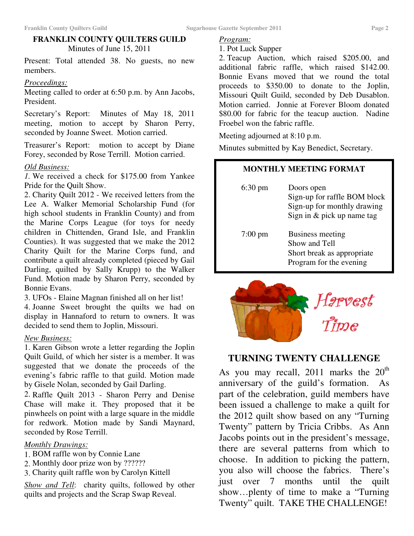# **FRANKLIN COUNTY QUILTERS GUILD**  Minutes of June 15, 2011

Present: Total attended 38. No guests, no new members.

### *Proceedings:*

Meeting called to order at 6:50 p.m. by Ann Jacobs, President.

Secretary's Report: Minutes of May 18, 2011 meeting, motion to accept by Sharon Perry, seconded by Joanne Sweet. Motion carried.

Treasurer's Report: motion to accept by Diane Forey, seconded by Rose Terrill. Motion carried.

# *Old Business:*

*1.* We received a check for \$175.00 from Yankee Pride for the Quilt Show.

2. Charity Quilt 2012 - We received letters from the Lee A. Walker Memorial Scholarship Fund (for high school students in Franklin County) and from the Marine Corps League (for toys for needy children in Chittenden, Grand Isle, and Franklin Counties). It was suggested that we make the 2012 Charity Quilt for the Marine Corps fund, and contribute a quilt already completed (pieced by Gail Darling, quilted by Sally Krupp) to the Walker Fund. Motion made by Sharon Perry, seconded by Bonnie Evans.

3. UFOs - Elaine Magnan finished all on her list!

4. Joanne Sweet brought the quilts we had on display in Hannaford to return to owners. It was decided to send them to Joplin, Missouri.

### *New Business:*

1. Karen Gibson wrote a letter regarding the Joplin Quilt Guild, of which her sister is a member. It was suggested that we donate the proceeds of the evening's fabric raffle to that guild. Motion made by Gisele Nolan, seconded by Gail Darling.

2. Raffle Quilt 2013 - Sharon Perry and Denise Chase will make it. They proposed that it be pinwheels on point with a large square in the middle for redwork. Motion made by Sandi Maynard, seconded by Rose Terrill.

# *Monthly Drawings:*

- 1. BOM raffle won by Connie Lane
- 2. Monthly door prize won by ??????
- 3. Charity quilt raffle won by Carolyn Kittell

*Show and Tell*: charity quilts, followed by other quilts and projects and the Scrap Swap Reveal.

## *Program:*

1. Pot Luck Supper

2. Teacup Auction, which raised \$205.00, and additional fabric raffle, which raised \$142.00. Bonnie Evans moved that we round the total proceeds to \$350.00 to donate to the Joplin, Missouri Quilt Guild, seconded by Deb Dusablon. Motion carried. Jonnie at Forever Bloom donated \$80.00 for fabric for the teacup auction. Nadine Froebel won the fabric raffle.

Meeting adjourned at 8:10 p.m.

Minutes submitted by Kay Benedict, Secretary.

# **MONTHLY MEETING FORMAT**

| $6:30 \text{ pm}$ | Doors open<br>Sign-up for raffle BOM block<br>Sign-up for monthly drawing<br>Sign in & pick up name tag |
|-------------------|---------------------------------------------------------------------------------------------------------|
| $7:00 \text{ pm}$ | Business meeting<br>Show and Tell<br>Short break as appropriate<br>Program for the evening              |



# **TURNING TWENTY CHALLENGE**

As you may recall, 2011 marks the  $20<sup>th</sup>$ anniversary of the guild's formation. As part of the celebration, guild members have been issued a challenge to make a quilt for the 2012 quilt show based on any "Turning Twenty" pattern by Tricia Cribbs. As Ann Jacobs points out in the president's message, there are several patterns from which to choose. In addition to picking the pattern, you also will choose the fabrics. There's just over 7 months until the quilt show…plenty of time to make a "Turning Twenty" quilt. TAKE THE CHALLENGE!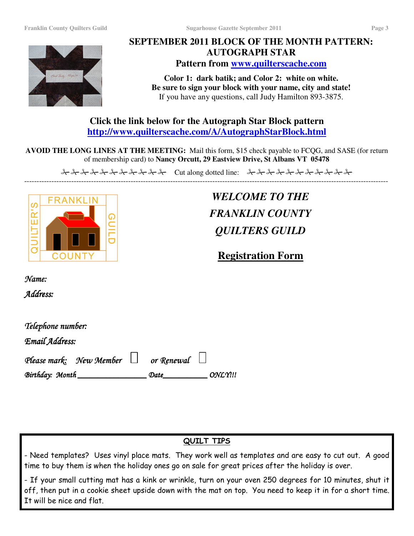

# **SEPTEMBER 2011 BLOCK OF THE MONTH PATTERN: AUTOGRAPH STAR Pattern from www.quilterscache.com**

**Color 1: dark batik; and Color 2: white on white. Be sure to sign your block with your name, city and state!**  If you have any questions, call Judy Hamilton 893-3875.

**Click the link below for the Autograph Star Block pattern http://www.quilterscache.com/A/AutographStarBlock.html** 

**AVOID THE LONG LINES AT THE MEETING:** Mail this form, \$15 check payable to FCQG, and SASE (for return of membership card) to **Nancy Orcutt, 29 Eastview Drive, St Albans VT 05478** 

<del>& & & & & & & & & &</del> & Cut along dotted line: <del>& & & & & & & & & &</del> ---------------------------------------------------------------------------------------------------------------------------------------------------



*WELCOME TO THE FRANKLIN COUNTY QUILTERS GUILD* 

**Registration Form** 

Name:

Address:

| Telephone number:       |            |         |
|-------------------------|------------|---------|
| Email Address:          |            |         |
| Please mark: New Member | or Renewal |         |
| Birthday: Month         | Date       | ONLY!!! |

# QUILT TIPS

- Need templates? Uses vinyl place mats. They work well as templates and are easy to cut out. A good time to buy them is when the holiday ones go on sale for great prices after the holiday is over.

- If your small cutting mat has a kink or wrinkle, turn on your oven 250 degrees for 10 minutes, shut it off, then put in a cookie sheet upside down with the mat on top. You need to keep it in for a short time. It will be nice and flat.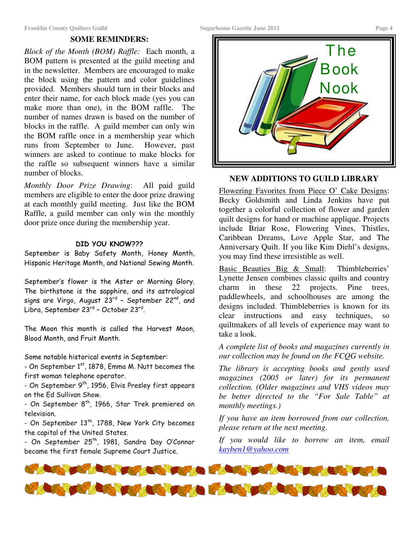### **SOME REMINDERS:**

*Block of the Month (BOM) Raffle:* Each month, a BOM pattern is presented at the guild meeting and in the newsletter. Members are encouraged to make the block using the pattern and color guidelines provided. Members should turn in their blocks and enter their name, for each block made (yes you can make more than one), in the BOM raffle. The number of names drawn is based on the number of blocks in the raffle. A guild member can only win the BOM raffle once in a membership year which runs from September to June. However, past winners are asked to continue to make blocks for the raffle so subsequent winners have a similar number of blocks.

*Monthly Door Prize Drawing*: All paid guild members are eligible to enter the door prize drawing at each monthly guild meeting. Just like the BOM Raffle, a guild member can only win the monthly door prize once during the membership year.

### DID YOU KNOW???

September is Baby Safety Month, Honey Month, Hispanic Heritage Month, and National Sewing Month.

September's flower is the Aster or Morning Glory. The birthstone is the sapphire, and its astrological signs are Virgo, August 23<sup>rd</sup> – September 22<sup>nd</sup>, and Libra, September 23<sup>rd</sup> – October 23<sup>rd</sup>.

The Moon this month is called the Harvest Moon, Blood Month, and Fruit Month.

Some notable historical events in September:

- On September  $1<sup>st</sup>$ , 1878, Emma M. Nutt becomes the first woman telephone operator.

- On September 9<sup>th</sup>, 1956, Elvis Presley first appears on the Ed Sullivan Show.

- On September 8<sup>th</sup>, 1966, Star Trek premiered on television.

- On September  $13<sup>th</sup>$ , 1788, New York City becomes the capital of the United States.

- On September 25<sup>th</sup>, 1981, Sandra Day O'Connor became the first female Supreme Court Justice.



### **NEW ADDITIONS TO GUILD LIBRARY**

Flowering Favorites from Piece O' Cake Designs: Becky Goldsmith and Linda Jenkins have put together a colorful collection of flower and garden quilt designs for hand or machine applique. Projects include Briar Rose, Flowering Vines, Thistles, Caribbean Dreams, Love Apple Star, and The Anniversary Quilt. If you like Kim Diehl's designs, you may find these irresistible as well.

Basic Beauties Big & Small: Thimbleberries' Lynette Jensen combines classic quilts and country charm in these 22 projects. Pine trees, paddlewheels, and schoolhouses are among the designs included. Thimbleberries is known for its clear instructions and easy techniques, so quiltmakers of all levels of experience may want to take a look.

*A complete list of books and magazines currently in our collection may be found on the FCQG website.* 

*The library is accepting books and gently used magazines (2005 or later) for its permanent collection. (Older magazines and VHS videos may be better directed to the "For Sale Table" at monthly meetings.)*

*If you have an item borrowed from our collection, please return at the next meeting.* 

*If you would like to borrow an item, email kayben1@yahoo.com*

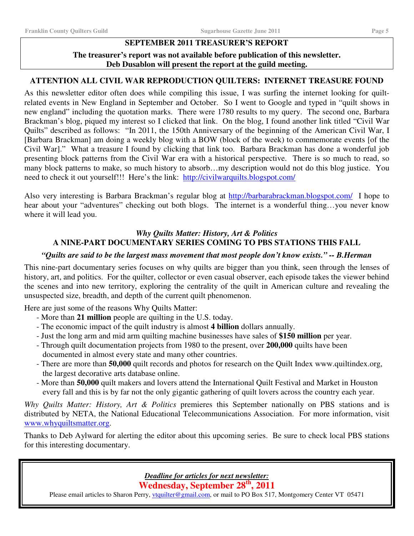### **SEPTEMBER 2011 TREASURER'S REPORT**

### **The treasurer's report was not available before publication of this newsletter. Deb Dusablon will present the report at the guild meeting.**

### **ATTENTION ALL CIVIL WAR REPRODUCTION QUILTERS: INTERNET TREASURE FOUND**

As this newsletter editor often does while compiling this issue, I was surfing the internet looking for quiltrelated events in New England in September and October. So I went to Google and typed in "quilt shows in new england" including the quotation marks. There were 1780 results to my query. The second one, Barbara Brackman's blog, piqued my interest so I clicked that link. On the blog, I found another link titled "Civil War Quilts" described as follows: "In 2011, the 150th Anniversary of the beginning of the American Civil War, I [Barbara Brackman] am doing a weekly blog with a BOW (block of the week) to commemorate events [of the Civil War]." What a treasure I found by clicking that link too. Barbara Brackman has done a wonderful job presenting block patterns from the Civil War era with a historical perspective. There is so much to read, so many block patterns to make, so much history to absorb…my description would not do this blog justice. You need to check it out yourself!!! Here's the link: http://civilwarquilts.blogspot.com/

Also very interesting is Barbara Brackman's regular blog at http://barbarabrackman.blogspot.com/ I hope to hear about your "adventures" checking out both blogs. The internet is a wonderful thing...you never know where it will lead you.

### *Why Quilts Matter: History, Art & Politics*  **A NINE-PART DOCUMENTARY SERIES COMING TO PBS STATIONS THIS FALL**

### *"Quilts are said to be the largest mass movement that most people don't know exists." -- B.Herman*

This nine-part documentary series focuses on why quilts are bigger than you think, seen through the lenses of history, art, and politics. For the quilter, collector or even casual observer, each episode takes the viewer behind the scenes and into new territory, exploring the centrality of the quilt in American culture and revealing the unsuspected size, breadth, and depth of the current quilt phenomenon.

Here are just some of the reasons Why Quilts Matter:

- More than **21 million** people are quilting in the U.S. today.
- The economic impact of the quilt industry is almost **4 billion** dollars annually.
- Just the long arm and mid arm quilting machine businesses have sales of **\$150 million** per year.
- Through quilt documentation projects from 1980 to the present, over **200,000** quilts have been documented in almost every state and many other countries.
- There are more than **50,000** quilt records and photos for research on the Quilt Index www.quiltindex.org, the largest decorative arts database online.
- More than **50,000** quilt makers and lovers attend the International Quilt Festival and Market in Houston every fall and this is by far not the only gigantic gathering of quilt lovers across the country each year.

*Why Quilts Matter: History, Art & Politics* premieres this September nationally on PBS stations and is distributed by NETA, the National Educational Telecommunications Association. For more information, visit www.whyquiltsmatter.org.

Thanks to Deb Aylward for alerting the editor about this upcoming series. Be sure to check local PBS stations for this interesting documentary.

*Deadline for articles for next newsletter:* 

**Wednesday, September 28th, 2011** 

Please email articles to Sharon Perry, vtquilter@gmail.com, or mail to PO Box 517, Montgomery Center VT 05471